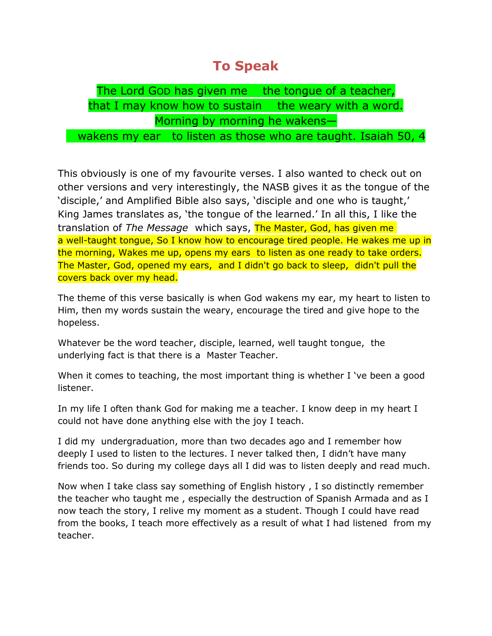## **To Speak**

## The Lord GOD has given me the tongue of a teacher, that I may know how to sustain the weary with a word. Morning by morning he wakens—

wakens my ear to listen as those who are taught. Isaiah 50, 4

This obviously is one of my favourite verses. I also wanted to check out on other versions and very interestingly, the NASB gives it as the tongue of the 'disciple,' and Amplified Bible also says, 'disciple and one who is taught,' King James translates as, 'the tongue of the learned.' In all this, I like the translation of *The Message* which says, The Master, God, has given me a well-taught tongue, So I know how to encourage tired people. He wakes me up in the morning, Wakes me up, opens my ears to listen as one ready to take orders. The Master, God, opened my ears, and I didn't go back to sleep, didn't pull the covers back over my head.

The theme of this verse basically is when God wakens my ear, my heart to listen to Him, then my words sustain the weary, encourage the tired and give hope to the hopeless.

Whatever be the word teacher, disciple, learned, well taught tongue, the underlying fact is that there is a Master Teacher.

When it comes to teaching, the most important thing is whether I 've been a good listener.

In my life I often thank God for making me a teacher. I know deep in my heart I could not have done anything else with the joy I teach.

I did my undergraduation, more than two decades ago and I remember how deeply I used to listen to the lectures. I never talked then, I didn't have many friends too. So during my college days all I did was to listen deeply and read much.

Now when I take class say something of English history , I so distinctly remember the teacher who taught me , especially the destruction of Spanish Armada and as I now teach the story, I relive my moment as a student. Though I could have read from the books, I teach more effectively as a result of what I had listened from my teacher.